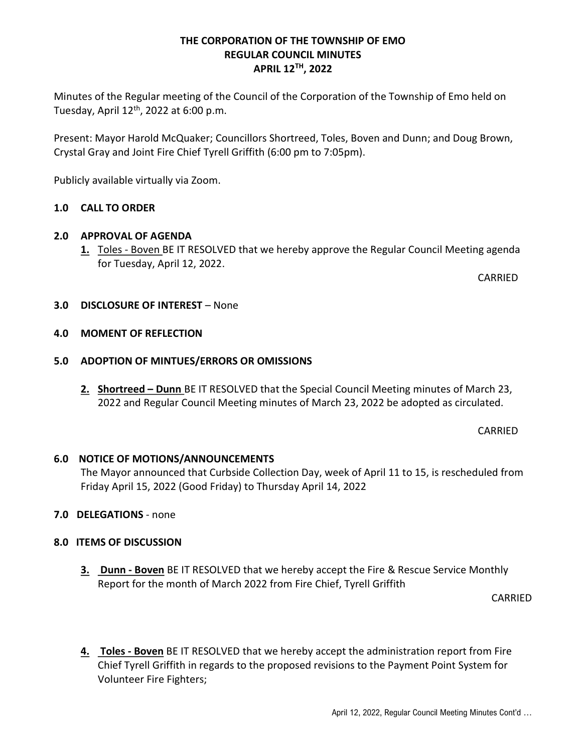# THE CORPORATION OF THE TOWNSHIP OF EMO REGULAR COUNCIL MINUTES APRIL 12TH, 2022

Minutes of the Regular meeting of the Council of the Corporation of the Township of Emo held on Tuesday, April 12th, 2022 at 6:00 p.m.

Present: Mayor Harold McQuaker; Councillors Shortreed, Toles, Boven and Dunn; and Doug Brown, Crystal Gray and Joint Fire Chief Tyrell Griffith (6:00 pm to 7:05pm).

Publicly available virtually via Zoom.

# 1.0 CALL TO ORDER

## 2.0 APPROVAL OF AGENDA

1. Toles - Boven BE IT RESOLVED that we hereby approve the Regular Council Meeting agenda for Tuesday, April 12, 2022.

CARRIED

#### 3.0 DISCLOSURE OF INTEREST – None

#### 4.0 MOMENT OF REFLECTION

## 5.0 ADOPTION OF MINTUES/ERRORS OR OMISSIONS

2. Shortreed – Dunn BE IT RESOLVED that the Special Council Meeting minutes of March 23, 2022 and Regular Council Meeting minutes of March 23, 2022 be adopted as circulated.

**CARRIED** 

#### 6.0 NOTICE OF MOTIONS/ANNOUNCEMENTS

The Mayor announced that Curbside Collection Day, week of April 11 to 15, is rescheduled from Friday April 15, 2022 (Good Friday) to Thursday April 14, 2022

## 7.0 DELEGATIONS - none

#### 8.0 ITEMS OF DISCUSSION

**3.** Dunn - Boven BE IT RESOLVED that we hereby accept the Fire & Rescue Service Monthly Report for the month of March 2022 from Fire Chief, Tyrell Griffith

CARRIED

4. Toles - Boven BE IT RESOLVED that we hereby accept the administration report from Fire Chief Tyrell Griffith in regards to the proposed revisions to the Payment Point System for Volunteer Fire Fighters;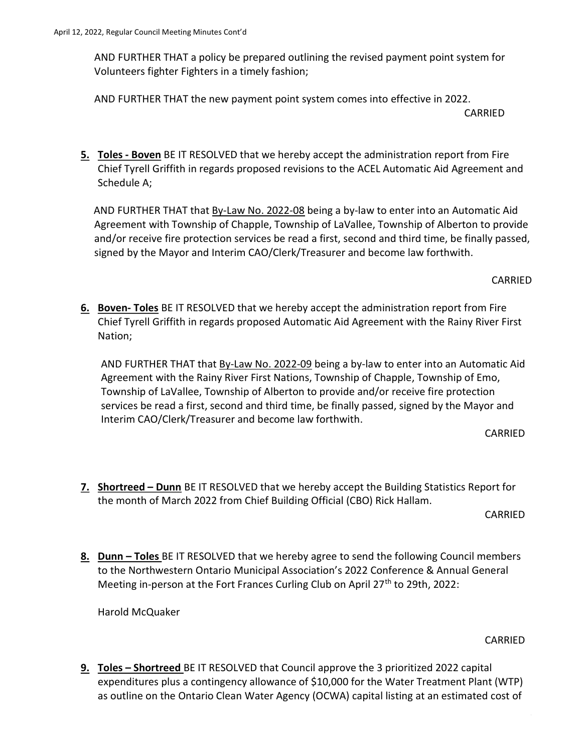AND FURTHER THAT a policy be prepared outlining the revised payment point system for Volunteers fighter Fighters in a timely fashion;

AND FURTHER THAT the new payment point system comes into effective in 2022.

CARRIED

**5. Toles - Boven** BE IT RESOLVED that we hereby accept the administration report from Fire Chief Tyrell Griffith in regards proposed revisions to the ACEL Automatic Aid Agreement and Schedule A;

AND FURTHER THAT that By-Law No. 2022-08 being a by-law to enter into an Automatic Aid Agreement with Township of Chapple, Township of LaVallee, Township of Alberton to provide and/or receive fire protection services be read a first, second and third time, be finally passed, signed by the Mayor and Interim CAO/Clerk/Treasurer and become law forthwith.

CARRIED

6. Boven- Toles BE IT RESOLVED that we hereby accept the administration report from Fire Chief Tyrell Griffith in regards proposed Automatic Aid Agreement with the Rainy River First Nation;

AND FURTHER THAT that By-Law No. 2022-09 being a by-law to enter into an Automatic Aid Agreement with the Rainy River First Nations, Township of Chapple, Township of Emo, Township of LaVallee, Township of Alberton to provide and/or receive fire protection services be read a first, second and third time, be finally passed, signed by the Mayor and Interim CAO/Clerk/Treasurer and become law forthwith.

CARRIED

7. Shortreed – Dunn BE IT RESOLVED that we hereby accept the Building Statistics Report for the month of March 2022 from Chief Building Official (CBO) Rick Hallam.

CARRIED

8. Dunn – Toles BE IT RESOLVED that we hereby agree to send the following Council members to the Northwestern Ontario Municipal Association's 2022 Conference & Annual General Meeting in-person at the Fort Frances Curling Club on April 27<sup>th</sup> to 29th, 2022:

Harold McQuaker

CARRIED

9. Toles – Shortreed BE IT RESOLVED that Council approve the 3 prioritized 2022 capital expenditures plus a contingency allowance of \$10,000 for the Water Treatment Plant (WTP) as outline on the Ontario Clean Water Agency (OCWA) capital listing at an estimated cost of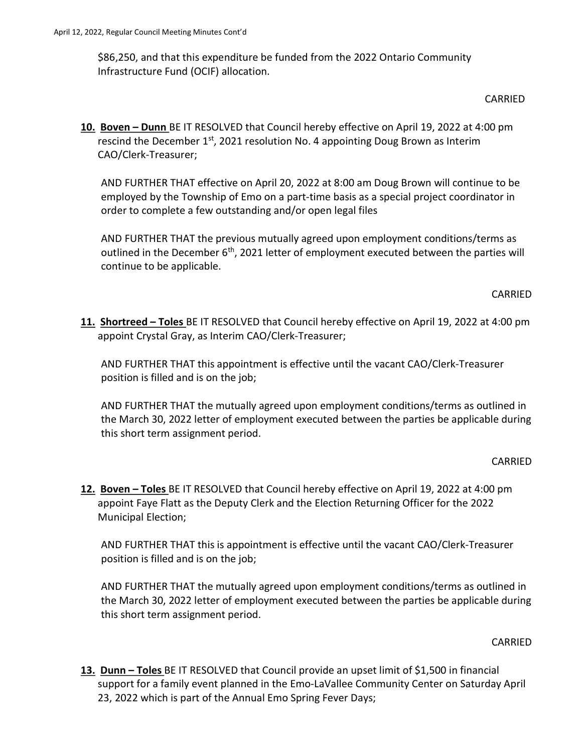\$86,250, and that this expenditure be funded from the 2022 Ontario Community Infrastructure Fund (OCIF) allocation.

### CARRIED

10. Boven – Dunn BE IT RESOLVED that Council hereby effective on April 19, 2022 at 4:00 pm rescind the December  $1^{st}$ , 2021 resolution No. 4 appointing Doug Brown as Interim CAO/Clerk-Treasurer;

AND FURTHER THAT effective on April 20, 2022 at 8:00 am Doug Brown will continue to be employed by the Township of Emo on a part-time basis as a special project coordinator in order to complete a few outstanding and/or open legal files

AND FURTHER THAT the previous mutually agreed upon employment conditions/terms as outlined in the December 6<sup>th</sup>, 2021 letter of employment executed between the parties will continue to be applicable.

## CARRIED

11. Shortreed – Toles BE IT RESOLVED that Council hereby effective on April 19, 2022 at 4:00 pm appoint Crystal Gray, as Interim CAO/Clerk-Treasurer;

AND FURTHER THAT this appointment is effective until the vacant CAO/Clerk-Treasurer position is filled and is on the job;

AND FURTHER THAT the mutually agreed upon employment conditions/terms as outlined in the March 30, 2022 letter of employment executed between the parties be applicable during this short term assignment period.

## CARRIED

12. Boven - Toles BE IT RESOLVED that Council hereby effective on April 19, 2022 at 4:00 pm appoint Faye Flatt as the Deputy Clerk and the Election Returning Officer for the 2022 Municipal Election;

AND FURTHER THAT this is appointment is effective until the vacant CAO/Clerk-Treasurer position is filled and is on the job;

AND FURTHER THAT the mutually agreed upon employment conditions/terms as outlined in the March 30, 2022 letter of employment executed between the parties be applicable during this short term assignment period.

## CARRIED

13. Dunn – Toles BE IT RESOLVED that Council provide an upset limit of \$1,500 in financial support for a family event planned in the Emo-LaVallee Community Center on Saturday April 23, 2022 which is part of the Annual Emo Spring Fever Days;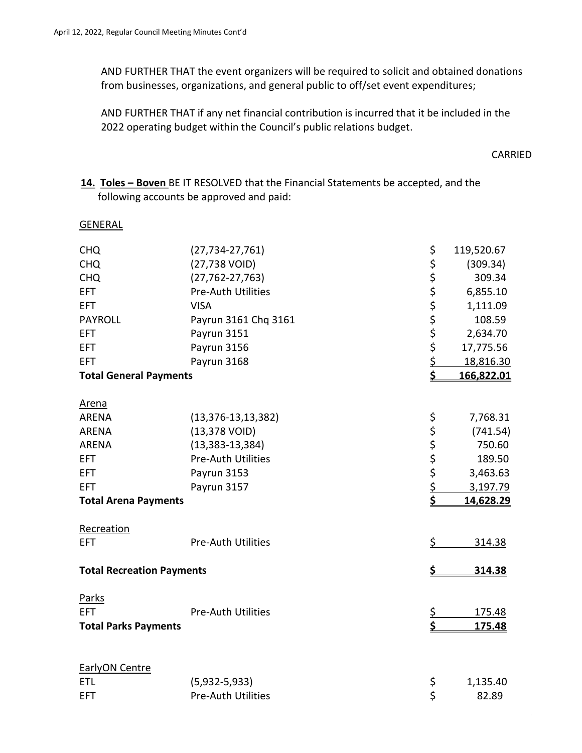AND FURTHER THAT the event organizers will be required to solicit and obtained donations from businesses, organizations, and general public to off/set event expenditures;

AND FURTHER THAT if any net financial contribution is incurred that it be included in the 2022 operating budget within the Council's public relations budget.

#### CARRIED

14. Toles - Boven BE IT RESOLVED that the Financial Statements be accepted, and the following accounts be approved and paid:

#### **GENERAL**

| <b>CHQ</b>                       | $(27, 734 - 27, 761)$     | \$        | 119,520.67 |
|----------------------------------|---------------------------|-----------|------------|
| <b>CHQ</b>                       | (27,738 VOID)             |           | (309.34)   |
| <b>CHQ</b>                       | $(27, 762 - 27, 763)$     |           | 309.34     |
| <b>EFT</b>                       | <b>Pre-Auth Utilities</b> |           | 6,855.10   |
| <b>EFT</b>                       | <b>VISA</b>               |           | 1,111.09   |
| <b>PAYROLL</b>                   | Payrun 3161 Chq 3161      | ひとみ ひこ    | 108.59     |
| <b>EFT</b>                       | Payrun 3151               |           | 2,634.70   |
| <b>EFT</b>                       | Payrun 3156               | \$        | 17,775.56  |
| <b>EFT</b>                       | Payrun 3168               | \$        | 18,816.30  |
| <b>Total General Payments</b>    |                           | \$        | 166,822.01 |
|                                  |                           |           |            |
| <b>Arena</b>                     |                           |           |            |
| <b>ARENA</b>                     | $(13, 376 - 13, 13, 382)$ | \$        | 7,768.31   |
| <b>ARENA</b>                     | (13,378 VOID)             | \$        | (741.54)   |
| <b>ARENA</b>                     | $(13, 383 - 13, 384)$     |           | 750.60     |
| <b>EFT</b>                       | <b>Pre-Auth Utilities</b> | \$\$\$    | 189.50     |
| <b>EFT</b>                       | Payrun 3153               |           | 3,463.63   |
| <b>EFT</b>                       | Payrun 3157               | \$        | 3,197.79   |
| <b>Total Arena Payments</b>      |                           | \$        | 14,628.29  |
| Recreation                       |                           |           |            |
| <b>EFT</b>                       | <b>Pre-Auth Utilities</b> | \$        | 314.38     |
| <b>Total Recreation Payments</b> |                           | \$        | 314.38     |
|                                  |                           |           |            |
| Parks                            |                           |           |            |
| <b>EFT</b>                       | <b>Pre-Auth Utilities</b> | <u>\$</u> | 175.48     |
| <b>Total Parks Payments</b>      |                           | \$        | 175.48     |
|                                  |                           |           |            |
| <b>EarlyON Centre</b>            |                           |           |            |
| <b>ETL</b>                       | $(5,932-5,933)$           | \$        | 1,135.40   |
| <b>EFT</b>                       | <b>Pre-Auth Utilities</b> | \$        | 82.89      |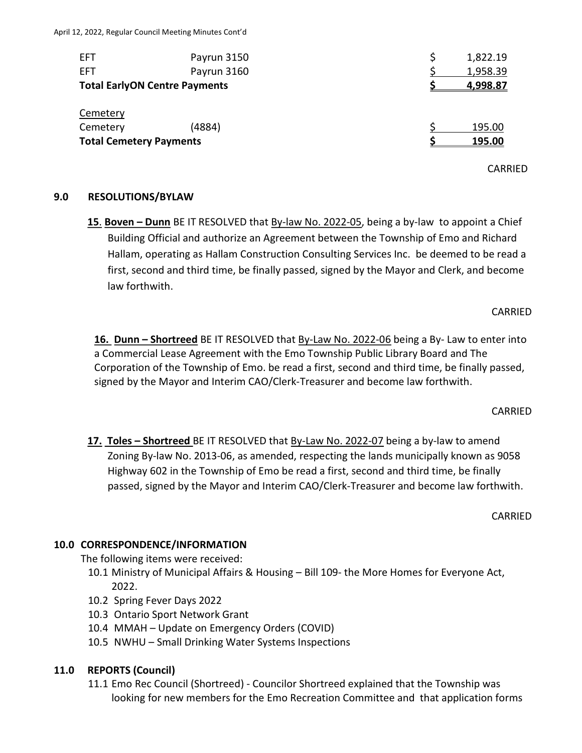| <b>EFT</b>                           | Payrun 3150 | 1,822.19 |
|--------------------------------------|-------------|----------|
| <b>EFT</b>                           | Payrun 3160 | 1,958.39 |
| <b>Total EarlyON Centre Payments</b> |             | 4,998.87 |
| Cemetery                             |             |          |
| Cemetery                             | (4884)      | 195.00   |
| <b>Total Cemetery Payments</b>       |             | 195.00   |
|                                      |             |          |

**CARRIED** 

#### 9.0 RESOLUTIONS/BYLAW

15. Boven – Dunn BE IT RESOLVED that By-law No. 2022-05, being a by-law to appoint a Chief Building Official and authorize an Agreement between the Township of Emo and Richard Hallam, operating as Hallam Construction Consulting Services Inc. be deemed to be read a first, second and third time, be finally passed, signed by the Mayor and Clerk, and become law forthwith.

CARRIED

16. Dunn – Shortreed BE IT RESOLVED that By-Law No. 2022-06 being a By- Law to enter into a Commercial Lease Agreement with the Emo Township Public Library Board and The Corporation of the Township of Emo. be read a first, second and third time, be finally passed, signed by the Mayor and Interim CAO/Clerk-Treasurer and become law forthwith.

CARRIED

17. Toles – Shortreed BE IT RESOLVED that By-Law No. 2022-07 being a by-law to amend Zoning By-law No. 2013-06, as amended, respecting the lands municipally known as 9058 Highway 602 in the Township of Emo be read a first, second and third time, be finally passed, signed by the Mayor and Interim CAO/Clerk-Treasurer and become law forthwith.

CARRIED

#### 10.0 CORRESPONDENCE/INFORMATION

The following items were received:

- 10.1 Ministry of Municipal Affairs & Housing Bill 109- the More Homes for Everyone Act, 2022.
- 10.2 Spring Fever Days 2022
- 10.3 Ontario Sport Network Grant
- 10.4 MMAH Update on Emergency Orders (COVID)
- 10.5 NWHU Small Drinking Water Systems Inspections

## 11.0 REPORTS (Council)

11.1 Emo Rec Council (Shortreed) - Councilor Shortreed explained that the Township was looking for new members for the Emo Recreation Committee and that application forms